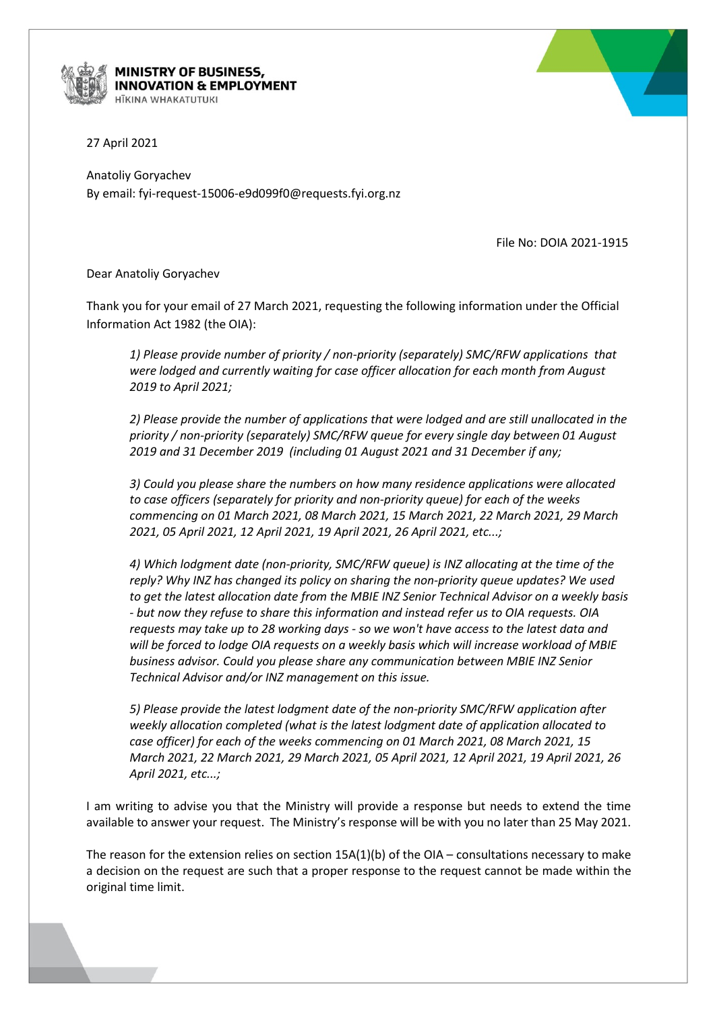

## MINISTRY OF BUSINESS, **NNOVATION & EMPLOYMENT ITKINA WHAKATLITLIKI**



Anatoliy Goryachev By email: fyi-request-15006-e9d099f0@requests.fyi.org.nz

File No: DOIA 2021-1915

Dear Anatoliy Goryachev

Thank you for your email of 27 March 2021, requesting the following information under the Official Information Act 1982 (the OIA):

*1) Please provide number of priority / non-priority (separately) SMC/RFW applications that were lodged and currently waiting for case officer allocation for each month from August 2019 to April 2021;* 

*2) Please provide the number of applications that were lodged and are still unallocated in the priority / non-priority (separately) SMC/RFW queue for every single day between 01 August 2019 and 31 December 2019 (including 01 August 2021 and 31 December if any;* 

*3) Could you please share the numbers on how many residence applications were allocated to case officers (separately for priority and non-priority queue) for each of the weeks commencing on 01 March 2021, 08 March 2021, 15 March 2021, 22 March 2021, 29 March 2021, 05 April 2021, 12 April 2021, 19 April 2021, 26 April 2021, etc...;*

*4) Which lodgment date (non-priority, SMC/RFW queue) is INZ allocating at the time of the reply? Why INZ has changed its policy on sharing the non-priority queue updates? We used to get the latest allocation date from the MBIE INZ Senior Technical Advisor on a weekly basis - but now they refuse to share this information and instead refer us to OIA requests. OIA requests may take up to 28 working days - so we won't have access to the latest data and will be forced to lodge OIA requests on a weekly basis which will increase workload of MBIE business advisor. Could you please share any communication between MBIE INZ Senior Technical Advisor and/or INZ management on this issue.* 

*5) Please provide the latest lodgment date of the non-priority SMC/RFW application after weekly allocation completed (what is the latest lodgment date of application allocated to case officer) for each of the weeks commencing on 01 March 2021, 08 March 2021, 15 March 2021, 22 March 2021, 29 March 2021, 05 April 2021, 12 April 2021, 19 April 2021, 26 April 2021, etc...;*

I am writing to advise you that the Ministry will provide a response but needs to extend the time available to answer your request. The Ministry's response will be with you no later than 25 May 2021.

The reason for the extension relies on section  $15A(1)(b)$  of the OIA – consultations necessary to make a decision on the request are such that a proper response to the request cannot be made within the original time limit.